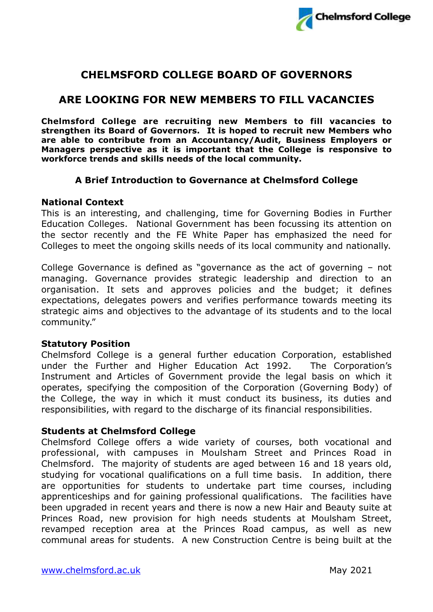

# **CHELMSFORD COLLEGE BOARD OF GOVERNORS**

# **ARE LOOKING FOR NEW MEMBERS TO FILL VACANCIES**

**Chelmsford College are recruiting new Members to fill vacancies to strengthen its Board of Governors. It is hoped to recruit new Members who are able to contribute from an Accountancy/Audit, Business Employers or Managers perspective as it is important that the College is responsive to workforce trends and skills needs of the local community.** 

## **A Brief Introduction to Governance at Chelmsford College**

### **National Context**

This is an interesting, and challenging, time for Governing Bodies in Further Education Colleges. National Government has been focussing its attention on the sector recently and the FE White Paper has emphasized the need for Colleges to meet the ongoing skills needs of its local community and nationally.

College Governance is defined as "governance as the act of governing – not managing. Governance provides strategic leadership and direction to an organisation. It sets and approves policies and the budget; it defines expectations, delegates powers and verifies performance towards meeting its strategic aims and objectives to the advantage of its students and to the local community."

### **Statutory Position**

Chelmsford College is a general further education Corporation, established under the Further and Higher Education Act 1992. The Corporation's Instrument and Articles of Government provide the legal basis on which it operates, specifying the composition of the Corporation (Governing Body) of the College, the way in which it must conduct its business, its duties and responsibilities, with regard to the discharge of its financial responsibilities.

### **Students at Chelmsford College**

Chelmsford College offers a wide variety of courses, both vocational and professional, with campuses in Moulsham Street and Princes Road in Chelmsford. The majority of students are aged between 16 and 18 years old, studying for vocational qualifications on a full time basis. In addition, there are opportunities for students to undertake part time courses, including apprenticeships and for gaining professional qualifications. The facilities have been upgraded in recent years and there is now a new Hair and Beauty suite at Princes Road, new provision for high needs students at Moulsham Street, revamped reception area at the Princes Road campus, as well as new communal areas for students. A new Construction Centre is being built at the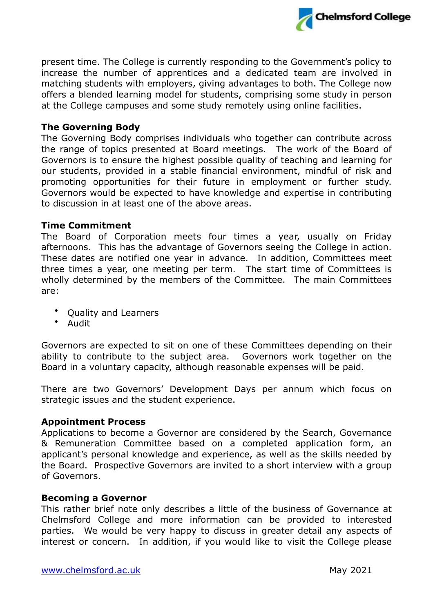

present time. The College is currently responding to the Government's policy to increase the number of apprentices and a dedicated team are involved in matching students with employers, giving advantages to both. The College now offers a blended learning model for students, comprising some study in person at the College campuses and some study remotely using online facilities.

## **The Governing Body**

The Governing Body comprises individuals who together can contribute across the range of topics presented at Board meetings. The work of the Board of Governors is to ensure the highest possible quality of teaching and learning for our students, provided in a stable financial environment, mindful of risk and promoting opportunities for their future in employment or further study. Governors would be expected to have knowledge and expertise in contributing to discussion in at least one of the above areas.

#### **Time Commitment**

The Board of Corporation meets four times a year, usually on Friday afternoons. This has the advantage of Governors seeing the College in action. These dates are notified one year in advance. In addition, Committees meet three times a year, one meeting per term. The start time of Committees is wholly determined by the members of the Committee. The main Committees are:

- Quality and Learners
- Audit

Governors are expected to sit on one of these Committees depending on their ability to contribute to the subject area. Governors work together on the Board in a voluntary capacity, although reasonable expenses will be paid.

There are two Governors' Development Days per annum which focus on strategic issues and the student experience.

### **Appointment Process**

Applications to become a Governor are considered by the Search, Governance & Remuneration Committee based on a completed application form, an applicant's personal knowledge and experience, as well as the skills needed by the Board. Prospective Governors are invited to a short interview with a group of Governors.

#### **Becoming a Governor**

This rather brief note only describes a little of the business of Governance at Chelmsford College and more information can be provided to interested parties. We would be very happy to discuss in greater detail any aspects of interest or concern. In addition, if you would like to visit the College please